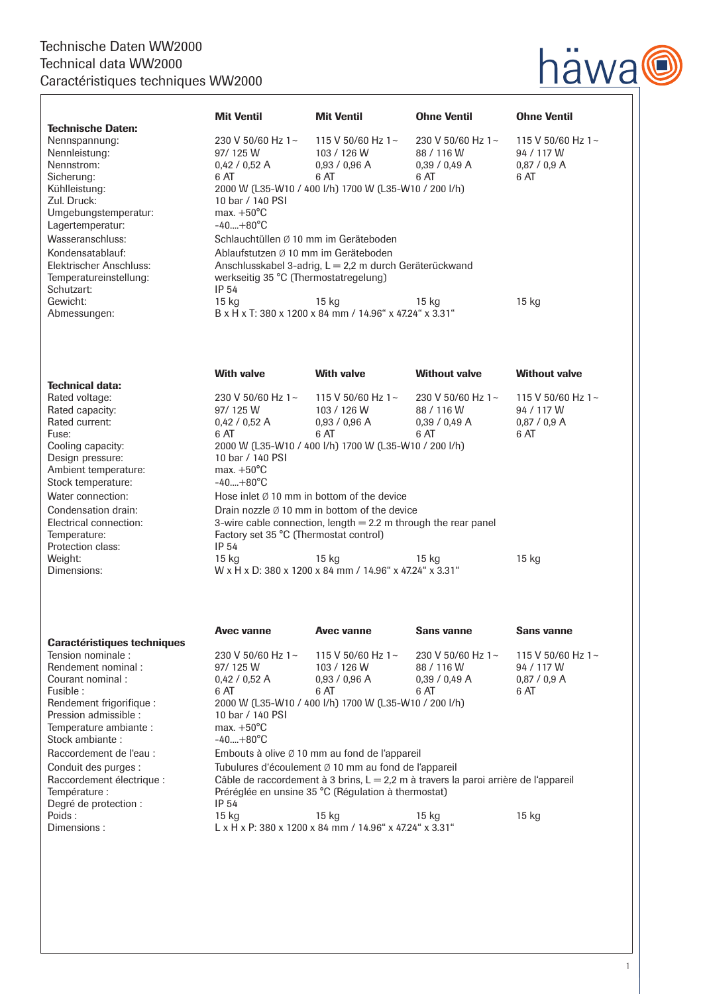## Technische Daten WW2000 Technical data WW2000 Caractéristiques techniques WW2000



|                                    | <b>Mit Ventil</b>                                                                     | <b>Mit Ventil</b>                                       | <b>Ohne Ventil</b>              | <b>Ohne Ventil</b>                    |
|------------------------------------|---------------------------------------------------------------------------------------|---------------------------------------------------------|---------------------------------|---------------------------------------|
| <b>Technische Daten:</b>           |                                                                                       |                                                         |                                 |                                       |
| Nennspannung:<br>Nennleistung:     | 230 V 50/60 Hz 1~<br>97/125 W                                                         | 115 V 50/60 Hz 1~<br>103 / 126 W                        | 230 V 50/60 Hz 1~<br>88 / 116 W | 115 V 50/60 Hz 1 $\sim$<br>94 / 117 W |
| Nennstrom:                         | 0.42 / 0.52 A                                                                         | 0.93 / 0.96 A                                           | 0.39 / 0.49 A                   | 0.87 / 0.9 A                          |
| Sicherung:                         | 6 AT                                                                                  | 6 AT                                                    | 6 AT                            | 6 AT                                  |
| Kühlleistung:                      |                                                                                       |                                                         |                                 |                                       |
| Zul. Druck:                        | 2000 W (L35-W10 / 400 I/h) 1700 W (L35-W10 / 200 I/h)<br>10 bar / 140 PSI             |                                                         |                                 |                                       |
| Umgebungstemperatur:               | max. $+50^{\circ}$ C                                                                  |                                                         |                                 |                                       |
| Lagertemperatur:                   | $-40+80^{\circ}C$                                                                     |                                                         |                                 |                                       |
| Wasseranschluss:                   |                                                                                       | Schlauchtüllen Ø 10 mm im Geräteboden                   |                                 |                                       |
| Kondensatablauf:                   | Ablaufstutzen Ø 10 mm im Geräteboden                                                  |                                                         |                                 |                                       |
| Elektrischer Anschluss:            | Anschlusskabel 3-adrig, L = 2,2 m durch Geräterückwand                                |                                                         |                                 |                                       |
| Temperatureinstellung:             | werkseitig 35 °C (Thermostatregelung)                                                 |                                                         |                                 |                                       |
| Schutzart:                         | <b>IP 54</b>                                                                          |                                                         |                                 |                                       |
| Gewicht:                           | 15 <sub>kg</sub>                                                                      | 15 kg                                                   | 15 kg                           | 15 kg                                 |
| Abmessungen:                       |                                                                                       | B x H x T: 380 x 1200 x 84 mm / 14.96" x 47.24" x 3.31" |                                 |                                       |
|                                    |                                                                                       |                                                         |                                 |                                       |
| <b>Technical data:</b>             | <b>With valve</b>                                                                     | <b>With valve</b>                                       | <b>Without valve</b>            | <b>Without valve</b>                  |
| Rated voltage:                     | 230 V 50/60 Hz 1 $\sim$                                                               | 115 V 50/60 Hz 1~                                       | 230 V 50/60 Hz 1~               | 115 V 50/60 Hz 1 $\sim$               |
| Rated capacity:                    | 97/125 W                                                                              | 103 / 126 W                                             | 88 / 116 W                      | 94 / 117 W                            |
| Rated current:                     | 0,42 / 0,52 A                                                                         | 0,93 / 0,96 A                                           | 0,39 / 0,49 A                   | 0,87/0,9 A                            |
| Fuse:                              | 6 AT                                                                                  | 6 AT                                                    | 6 AT                            | 6 AT                                  |
| Cooling capacity:                  | 2000 W (L35-W10 / 400 l/h) 1700 W (L35-W10 / 200 l/h)                                 |                                                         |                                 |                                       |
| Design pressure:                   | 10 bar / 140 PSI                                                                      |                                                         |                                 |                                       |
| Ambient temperature:               | max. $+50^{\circ}$ C                                                                  |                                                         |                                 |                                       |
| Stock temperature:                 | $-40+80^{\circ}C$                                                                     |                                                         |                                 |                                       |
| Water connection:                  | Hose inlet $\emptyset$ 10 mm in bottom of the device                                  |                                                         |                                 |                                       |
| Condensation drain:                | Drain nozzle $\emptyset$ 10 mm in bottom of the device                                |                                                         |                                 |                                       |
| Electrical connection:             | 3-wire cable connection, length $= 2.2$ m through the rear panel                      |                                                         |                                 |                                       |
| Temperature:                       | Factory set 35 °C (Thermostat control)                                                |                                                         |                                 |                                       |
| Protection class:                  | IP 54                                                                                 |                                                         |                                 |                                       |
| Weight:                            | 15 <sub>kg</sub>                                                                      | 15 kg                                                   | 15 kg                           | 15 kg                                 |
| Dimensions:                        | W x H x D: 380 x 1200 x 84 mm / 14.96" x 47.24" x 3.31"                               |                                                         |                                 |                                       |
|                                    | <b>Avec vanne</b>                                                                     | <b>Avec vanne</b>                                       | <b>Sans vanne</b>               | Sans vanne                            |
| <b>Caractéristiques techniques</b> |                                                                                       |                                                         |                                 |                                       |
| Tension nominale:                  | 230 V 50/60 Hz 1~                                                                     | 115 V 50/60 Hz 1~                                       | 230 V 50/60 Hz 1~               | 115 V 50/60 Hz 1~                     |
| Rendement nominal:                 | 97/125 W                                                                              | 103 / 126 W                                             | 88 / 116 W                      | 94 / 117 W                            |
| Courant nominal :<br>Fusible:      | 0,42 / 0,52 A<br>6 AT                                                                 | 0,93 / 0,96 A<br>6 AT                                   | 0,39/0,49A<br>6 AT              | 0,87/0,9 A<br>6 AT                    |
| Rendement frigorifique :           | 2000 W (L35-W10 / 400 l/h) 1700 W (L35-W10 / 200 l/h)                                 |                                                         |                                 |                                       |
| Pression admissible :              | 10 bar / 140 PSI                                                                      |                                                         |                                 |                                       |
| Temperature ambiante :             | max. $+50^{\circ}$ C                                                                  |                                                         |                                 |                                       |
| Stock ambiante :                   | $-40+80^{\circ}C$                                                                     |                                                         |                                 |                                       |
| Raccordement de l'eau :            | Embouts à olive Ø 10 mm au fond de l'appareil                                         |                                                         |                                 |                                       |
| Conduit des purges :               | Tubulures d'écoulement Ø 10 mm au fond de l'appareil                                  |                                                         |                                 |                                       |
| Raccordement électrique :          | Câble de raccordement à 3 brins, $L = 2.2$ m à travers la paroi arrière de l'appareil |                                                         |                                 |                                       |
| Température :                      | Préréglée en unsine 35 °C (Régulation à thermostat)                                   |                                                         |                                 |                                       |
| Degré de protection :              | IP 54                                                                                 |                                                         |                                 |                                       |
| Poids:                             | 15 kg                                                                                 | 15 kg                                                   | 15 kg                           | 15 kg                                 |
| Dimensions:                        |                                                                                       | L x H x P: 380 x 1200 x 84 mm / 14.96" x 47.24" x 3.31" |                                 |                                       |
|                                    |                                                                                       |                                                         |                                 |                                       |